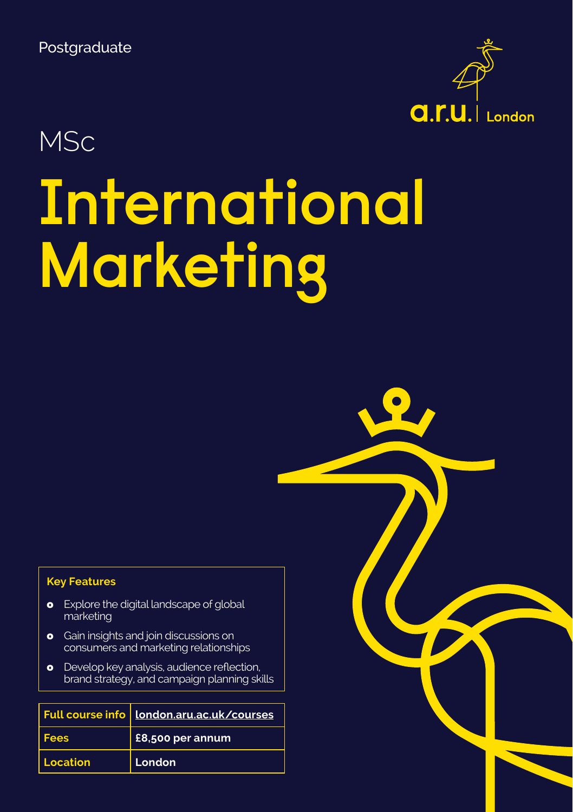Postgraduate



# **MSc**

# **International Marketing**

### **Key Features**

- **o** Explore the digital landscape of global marketing
- **o** Gain insights and join discussions on consumers and marketing relationships
- **o** Develop key analysis, audience reflection, brand strategy, and campaign planning skills

|             | Full course info   London.aru.ac.uk/courses |
|-------------|---------------------------------------------|
| <b>Fees</b> | £8,500 per annum                            |
| Location    | London                                      |